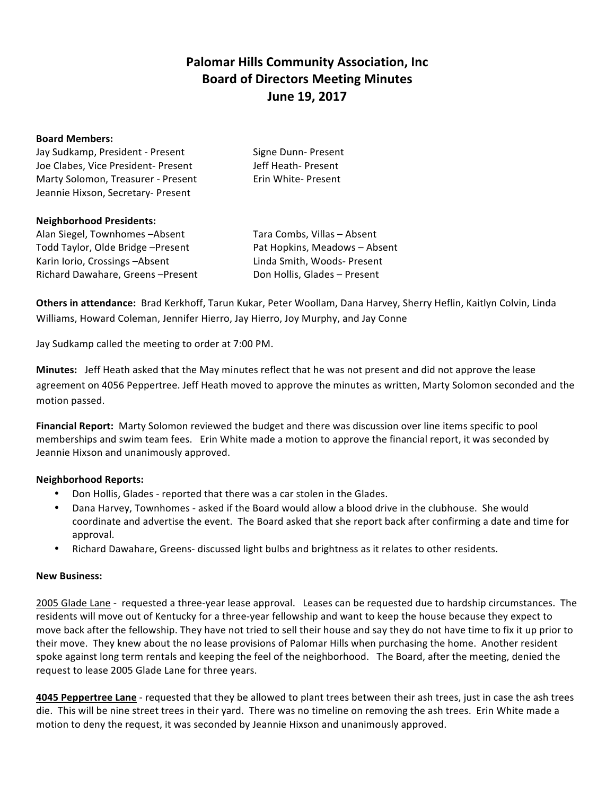# **Palomar Hills Community Association, Inc. Board of Directors Meeting Minutes June 19, 2017**

#### **Board Members:**

| Jay Sudkamp, President - Present    | Signe Dunn- Present |
|-------------------------------------|---------------------|
| Joe Clabes, Vice President- Present | Jeff Heath- Present |
| Marty Solomon, Treasurer - Present  | Erin White-Present  |
| Jeannie Hixson, Secretary- Present  |                     |

#### **Neighborhood Presidents:**

Alan Siegel, Townhomes -Absent Tara Combs, Villas - Absent Todd Taylor, Olde Bridge -Present Pat Hopkins, Meadows - Absent Karin Iorio, Crossings -Absent Linda Smith, Woods- Present Richard Dawahare, Greens -Present Don Hollis, Glades - Present

Others in attendance: Brad Kerkhoff, Tarun Kukar, Peter Woollam, Dana Harvey, Sherry Heflin, Kaitlyn Colvin, Linda Williams, Howard Coleman, Jennifer Hierro, Jay Hierro, Joy Murphy, and Jay Conne

Jay Sudkamp called the meeting to order at 7:00 PM.

**Minutes:** Jeff Heath asked that the May minutes reflect that he was not present and did not approve the lease agreement on 4056 Peppertree. Jeff Heath moved to approve the minutes as written, Marty Solomon seconded and the motion passed.

**Financial Report:** Marty Solomon reviewed the budget and there was discussion over line items specific to pool memberships and swim team fees. Erin White made a motion to approve the financial report, it was seconded by Jeannie Hixson and unanimously approved.

## **Neighborhood Reports:**

- Don Hollis, Glades reported that there was a car stolen in the Glades.
- Dana Harvey, Townhomes asked if the Board would allow a blood drive in the clubhouse. She would coordinate and advertise the event. The Board asked that she report back after confirming a date and time for approval.
- Richard Dawahare, Greens- discussed light bulbs and brightness as it relates to other residents.

## **New Business:**

2005 Glade Lane - requested a three-year lease approval. Leases can be requested due to hardship circumstances. The residents will move out of Kentucky for a three-year fellowship and want to keep the house because they expect to move back after the fellowship. They have not tried to sell their house and say they do not have time to fix it up prior to their move. They knew about the no lease provisions of Palomar Hills when purchasing the home. Another resident spoke against long term rentals and keeping the feel of the neighborhood. The Board, after the meeting, denied the request to lease 2005 Glade Lane for three years.

**4045 Peppertree Lane** - requested that they be allowed to plant trees between their ash trees, just in case the ash trees die. This will be nine street trees in their yard. There was no timeline on removing the ash trees. Erin White made a motion to deny the request, it was seconded by Jeannie Hixson and unanimously approved.